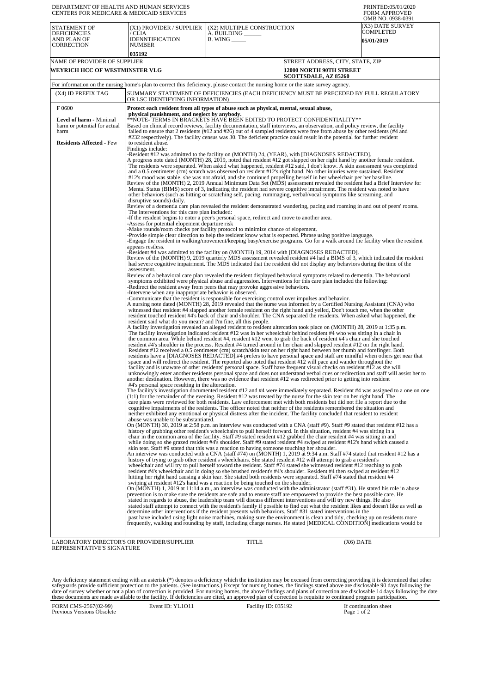| DEPARTMENT OF HEALTH AND HUMAN SERVICES<br>CENTERS FOR MEDICARE & MEDICAID SERVICES                                |                                                                                                                                                                                                                                                                                                                                                                                                                                                                                                                                                                                                                                                                                                                      |                                                                                                                                                                                                                                                                                                                                                                                                                                                                                                                                                                                                                                                                                                                                                                                                                                                                                                                                                                                                                                                                                                                                                                                                                                                                                                                                                                                                                                                                                                                                                                                                                                                                                                                                                                                                                                                                                                                                                                                                                                                                                                                                                                                                                                                                                                                                                                                                                                                                                                                                                                                                                                                                                                                                                                                                                                                                                                                                                                                                                                                                                                                                                                                                                                                                                                                                                                                                                                                                                                                                                                                                                                                                                                                                                                                                                                                                                                                                                                                                                                                                                                                                                                                                                                                                                                                                                                                                                                                                                                                                                                                                                                                                                                                                                                                                                                                                                                                                                                                                                                                                                                                                                                                                                                                                                                                                                                                                                                                                                                                                                                             | PRINTED:05/01/2020<br><b>FORM APPROVED</b>                                                                                                                                                                                                                             |  |  |
|--------------------------------------------------------------------------------------------------------------------|----------------------------------------------------------------------------------------------------------------------------------------------------------------------------------------------------------------------------------------------------------------------------------------------------------------------------------------------------------------------------------------------------------------------------------------------------------------------------------------------------------------------------------------------------------------------------------------------------------------------------------------------------------------------------------------------------------------------|-----------------------------------------------------------------------------------------------------------------------------------------------------------------------------------------------------------------------------------------------------------------------------------------------------------------------------------------------------------------------------------------------------------------------------------------------------------------------------------------------------------------------------------------------------------------------------------------------------------------------------------------------------------------------------------------------------------------------------------------------------------------------------------------------------------------------------------------------------------------------------------------------------------------------------------------------------------------------------------------------------------------------------------------------------------------------------------------------------------------------------------------------------------------------------------------------------------------------------------------------------------------------------------------------------------------------------------------------------------------------------------------------------------------------------------------------------------------------------------------------------------------------------------------------------------------------------------------------------------------------------------------------------------------------------------------------------------------------------------------------------------------------------------------------------------------------------------------------------------------------------------------------------------------------------------------------------------------------------------------------------------------------------------------------------------------------------------------------------------------------------------------------------------------------------------------------------------------------------------------------------------------------------------------------------------------------------------------------------------------------------------------------------------------------------------------------------------------------------------------------------------------------------------------------------------------------------------------------------------------------------------------------------------------------------------------------------------------------------------------------------------------------------------------------------------------------------------------------------------------------------------------------------------------------------------------------------------------------------------------------------------------------------------------------------------------------------------------------------------------------------------------------------------------------------------------------------------------------------------------------------------------------------------------------------------------------------------------------------------------------------------------------------------------------------------------------------------------------------------------------------------------------------------------------------------------------------------------------------------------------------------------------------------------------------------------------------------------------------------------------------------------------------------------------------------------------------------------------------------------------------------------------------------------------------------------------------------------------------------------------------------------------------------------------------------------------------------------------------------------------------------------------------------------------------------------------------------------------------------------------------------------------------------------------------------------------------------------------------------------------------------------------------------------------------------------------------------------------------------------------------------------------------------------------------------------------------------------------------------------------------------------------------------------------------------------------------------------------------------------------------------------------------------------------------------------------------------------------------------------------------------------------------------------------------------------------------------------------------------------------------------------------------------------------------------------------------------------------------------------------------------------------------------------------------------------------------------------------------------------------------------------------------------------------------------------------------------------------------------------------------------------------------------------------------------------------------------------------------------------------------------------------------------------------------------------------------|------------------------------------------------------------------------------------------------------------------------------------------------------------------------------------------------------------------------------------------------------------------------|--|--|
| STATEMENT OF<br><b>DEFICIENCIES</b><br>AND PLAN OF<br>CORRECTION                                                   | (X1) PROVIDER / SUPPLIER<br>/ CLIA<br><b>IDENNTIFICATION</b><br>NUMBER                                                                                                                                                                                                                                                                                                                                                                                                                                                                                                                                                                                                                                               | (X2) MULTIPLE CONSTRUCTION<br>A. BUILDING ______<br>$B.$ WING $\_\_\_\_\_\_\_\$                                                                                                                                                                                                                                                                                                                                                                                                                                                                                                                                                                                                                                                                                                                                                                                                                                                                                                                                                                                                                                                                                                                                                                                                                                                                                                                                                                                                                                                                                                                                                                                                                                                                                                                                                                                                                                                                                                                                                                                                                                                                                                                                                                                                                                                                                                                                                                                                                                                                                                                                                                                                                                                                                                                                                                                                                                                                                                                                                                                                                                                                                                                                                                                                                                                                                                                                                                                                                                                                                                                                                                                                                                                                                                                                                                                                                                                                                                                                                                                                                                                                                                                                                                                                                                                                                                                                                                                                                                                                                                                                                                                                                                                                                                                                                                                                                                                                                                                                                                                                                                                                                                                                                                                                                                                                                                                                                                                                                                                                                             | OMB NO. 0938-0391<br>(X3) DATE SURVEY<br>COMPLETED<br><b>05/01/2019</b>                                                                                                                                                                                                |  |  |
| NAME OF PROVIDER OF SUPPLIER                                                                                       | 035192                                                                                                                                                                                                                                                                                                                                                                                                                                                                                                                                                                                                                                                                                                               |                                                                                                                                                                                                                                                                                                                                                                                                                                                                                                                                                                                                                                                                                                                                                                                                                                                                                                                                                                                                                                                                                                                                                                                                                                                                                                                                                                                                                                                                                                                                                                                                                                                                                                                                                                                                                                                                                                                                                                                                                                                                                                                                                                                                                                                                                                                                                                                                                                                                                                                                                                                                                                                                                                                                                                                                                                                                                                                                                                                                                                                                                                                                                                                                                                                                                                                                                                                                                                                                                                                                                                                                                                                                                                                                                                                                                                                                                                                                                                                                                                                                                                                                                                                                                                                                                                                                                                                                                                                                                                                                                                                                                                                                                                                                                                                                                                                                                                                                                                                                                                                                                                                                                                                                                                                                                                                                                                                                                                                                                                                                                                             | STREET ADDRESS, CITY, STATE, ZIP                                                                                                                                                                                                                                       |  |  |
| WEYRICH HCC OF WESTMINSTER VLG                                                                                     |                                                                                                                                                                                                                                                                                                                                                                                                                                                                                                                                                                                                                                                                                                                      | 12000 NORTH 90TH STREET<br><b>SCOTTSDALE, AZ 85260</b>                                                                                                                                                                                                                                                                                                                                                                                                                                                                                                                                                                                                                                                                                                                                                                                                                                                                                                                                                                                                                                                                                                                                                                                                                                                                                                                                                                                                                                                                                                                                                                                                                                                                                                                                                                                                                                                                                                                                                                                                                                                                                                                                                                                                                                                                                                                                                                                                                                                                                                                                                                                                                                                                                                                                                                                                                                                                                                                                                                                                                                                                                                                                                                                                                                                                                                                                                                                                                                                                                                                                                                                                                                                                                                                                                                                                                                                                                                                                                                                                                                                                                                                                                                                                                                                                                                                                                                                                                                                                                                                                                                                                                                                                                                                                                                                                                                                                                                                                                                                                                                                                                                                                                                                                                                                                                                                                                                                                                                                                                                                      |                                                                                                                                                                                                                                                                        |  |  |
|                                                                                                                    |                                                                                                                                                                                                                                                                                                                                                                                                                                                                                                                                                                                                                                                                                                                      | For information on the nursing home's plan to correct this deficiency, please contact the nursing home or the state survey agency.                                                                                                                                                                                                                                                                                                                                                                                                                                                                                                                                                                                                                                                                                                                                                                                                                                                                                                                                                                                                                                                                                                                                                                                                                                                                                                                                                                                                                                                                                                                                                                                                                                                                                                                                                                                                                                                                                                                                                                                                                                                                                                                                                                                                                                                                                                                                                                                                                                                                                                                                                                                                                                                                                                                                                                                                                                                                                                                                                                                                                                                                                                                                                                                                                                                                                                                                                                                                                                                                                                                                                                                                                                                                                                                                                                                                                                                                                                                                                                                                                                                                                                                                                                                                                                                                                                                                                                                                                                                                                                                                                                                                                                                                                                                                                                                                                                                                                                                                                                                                                                                                                                                                                                                                                                                                                                                                                                                                                                          |                                                                                                                                                                                                                                                                        |  |  |
| (X4) ID PREFIX TAG                                                                                                 | OR LSC IDENTIFYING INFORMATION)                                                                                                                                                                                                                                                                                                                                                                                                                                                                                                                                                                                                                                                                                      | SUMMARY STATEMENT OF DEFICIENCIES (EACH DEFICIENCY MUST BE PRECEDED BY FULL REGULATORY                                                                                                                                                                                                                                                                                                                                                                                                                                                                                                                                                                                                                                                                                                                                                                                                                                                                                                                                                                                                                                                                                                                                                                                                                                                                                                                                                                                                                                                                                                                                                                                                                                                                                                                                                                                                                                                                                                                                                                                                                                                                                                                                                                                                                                                                                                                                                                                                                                                                                                                                                                                                                                                                                                                                                                                                                                                                                                                                                                                                                                                                                                                                                                                                                                                                                                                                                                                                                                                                                                                                                                                                                                                                                                                                                                                                                                                                                                                                                                                                                                                                                                                                                                                                                                                                                                                                                                                                                                                                                                                                                                                                                                                                                                                                                                                                                                                                                                                                                                                                                                                                                                                                                                                                                                                                                                                                                                                                                                                                                      |                                                                                                                                                                                                                                                                        |  |  |
| F0600<br><b>Level of harm - Minimal</b><br>harm or potential for actual<br>harm<br><b>Residents Affected - Few</b> | physical punishment, and neglect by anybody.<br>to resident abuse.<br>Findings include:<br>disruptive sounds) daily.<br>The interventions for this care plan included:<br>-Assess for potential elopement departure risk<br>appears restless.<br>assessment.<br>-Intervene when any inappropriate behavior is observed.<br>resident said what do you mean? and I'm fine, all this people.<br>#4's personal space resulting in the altercation.<br>abuse was unable to be substantiated.                                                                                                                                                                                                                              | Protect each resident from all types of abuse such as physical, mental, sexual abuse,<br>**NOTE- TERMS IN BRACKETS HAVE BEEN EDITED TO PROTECT CONFIDENTIALITY**<br>Based on clinical record reviews, facility documentation, staff interviews, an observation, and policy review, the facility<br>failed to ensure that 2 residents (#12 and #26) out of 4 sampled residents were free from abuse by other residents (#4 and<br>#232 respectively). The facility census was 30. The deficient practice could result in the potential for further resident<br>-Resident #12 was admitted to the facility on (MONTH) 24, (YEAR), with [DIAGNOSES REDACTED].<br>A progress note dated (MONTH) 28, 2019, noted that resident #12 got slapped on her right hand by another female resident.<br>The residents were separated. When asked what happened, resident #12 said, I don't know. A skin assessment was completed<br>and a 0.5 centimeter (cm) scratch was observed on resident #12's right hand. No other injuries were sustained. Resident<br>#12's mood was stable, she was not afraid, and she continued propelling herself in her wheelchair per her baseline.<br>Review of the (MONTH) 2, 2019 Annual Minimum Data Set (MDS) assessment revealed the resident had a Brief Interview for<br>Mental Status (BIMS) score of 3, indicating the resident had severe cognitive impairment. The resident was noted to have<br>other behaviors (such as hitting or scratching self, pacing, rummaging, verbal/vocal symptoms like screaming, and<br>Review of a dementia care plan revealed the resident demonstrated wandering, pacing and roaming in and out of peers' rooms.<br>If the resident begins to enter a peer's personal space, redirect and move to another area.<br>-Make rounds/room checks per facility protocol to minimize chance of elopement.<br>-Provide simple clear direction to help the resident know what is expected. Phrase using positive language.<br>-Engage the resident in walking/movement/keeping busy/exercise programs. Go for a walk around the facility when the resident<br>-Resident #4 was admitted to the facility on (MONTH) 19, 2014 with [DIAGNOSES REDACTED].<br>Review of the (MONTH) 9, 2019 quarterly MDS assessment revealed resident #4 had a BIMS of 3, which indicated the resident<br>had severe cognitive impairment. The MDS indicated that the resident did not display any behaviors during the time of the<br>Review of a behavioral care plan revealed the resident displayed behavioral symptoms related to dementia. The behavioral<br>symptoms exhibited were physical abuse and aggression. Interventions for this care plan included the following:<br>-Redirect the resident away from peers that may provoke aggressive behaviors.<br>-Communicate that the resident is responsible for exercising control over impulses and behavior.<br>A nursing note dated (MONTH) 28, 2019 revealed that the nurse was informed by a Certified Nursing Assistant (CNA) who<br>witnessed that resident #4 slapped another female resident on the right hand and yelled, Don't touch me, when the other<br>resident touched resident #4's back of chair and shoulder. The CNA separated the residents. When asked what happened, the<br>A facility investigation revealed an alleged resident to resident altercation took place on (MONTH) 28, 2019 at 1:35 p.m.<br>The facility investigation indicated resident #12 was in her wheelchair behind resident #4 who was sitting in a chair in<br>the common area. While behind resident #4, resident #12 went to grab the back of resident #4's chair and she touched<br>resident #4's shoulder in the process. Resident #4 turned around in her chair and slapped resident #12 on the right hand.<br>Resident #12 received a 0.5 centimeter (cm) scratch/skin tear on her right hand between her thumb and forefinger. Both<br>residents have a [DIAGNOSES REDACTED].#4 prefers to have personal space and staff are mindful when others get near that<br>space and will redirect the resident. The reported also noted that resident #12 will pace and wander throughout the<br>facility and is unaware of other residents' personal space. Staff have frequent visual checks on resident #12 as she will<br>another destination. However, there was no evidence that resident #12 was redirected prior to getting into resident<br>$(1:1)$ for the remainder of the evening. Resident #12 was treated by the nurse for the skin tear on her right hand. The<br>care plans were reviewed for both residents. Law enforcement met with both residents but did not file a report due to the<br>cognitive impairments of the residents. The officer noted that neither of the residents remembered the situation and<br>neither exhibited any emotional or physical distress after the incident. The facility concluded that resident to resident<br>On (MONTH) 30, 2019 at 2:58 p.m. an interview was conducted with a CNA (staff #9). Staff #9 stated that resident #12 has a<br>history of grabbing other resident's wheelchairs to pull herself forward. In this situation, resident #4 was sitting in a<br>chair in the common area of the facility. Staff #9 stated resident #12 grabbed the chair resident #4 was sitting in and<br>while doing so she grazed resident #4's shoulder. Staff #9 stated resident #4 swiped at resident #12's hand which caused a<br>skin tear. Staff #9 stated that this was a reaction to having someone touching her shoulder. | unknowingly enter another residents personal space and does not understand verbal cues or redirection and staff will assist her to<br>The facility's investigation documented resident #12 and #4 were immediately separated. Resident #4 was assigned to a one on one |  |  |
|                                                                                                                    | An interview was conducted with a CNA (staff #74) on (MONTH) 1, 2019 at 9:34 a.m. Staff #74 stated that resident #12 has a<br>history of trying to grab other resident's wheelchairs. She stated resident #12 will attempt to grab a resident's<br>wheelchair and will try to pull herself toward the resident. Staff #74 stated she witnessed resident #12 reaching to grab<br>resident #4's wheelchair and in doing so she brushed resident's #4's shoulder. Resident #4 then swiped at resident #12<br>hitting her right hand causing a skin tear. She stated both residents were separated. Staff #74 stated that resident #4<br>swiping at resident #12's hand was a reaction be being touched on the shoulder. |                                                                                                                                                                                                                                                                                                                                                                                                                                                                                                                                                                                                                                                                                                                                                                                                                                                                                                                                                                                                                                                                                                                                                                                                                                                                                                                                                                                                                                                                                                                                                                                                                                                                                                                                                                                                                                                                                                                                                                                                                                                                                                                                                                                                                                                                                                                                                                                                                                                                                                                                                                                                                                                                                                                                                                                                                                                                                                                                                                                                                                                                                                                                                                                                                                                                                                                                                                                                                                                                                                                                                                                                                                                                                                                                                                                                                                                                                                                                                                                                                                                                                                                                                                                                                                                                                                                                                                                                                                                                                                                                                                                                                                                                                                                                                                                                                                                                                                                                                                                                                                                                                                                                                                                                                                                                                                                                                                                                                                                                                                                                                                             |                                                                                                                                                                                                                                                                        |  |  |
|                                                                                                                    |                                                                                                                                                                                                                                                                                                                                                                                                                                                                                                                                                                                                                                                                                                                      | On (MONTH) 1, 2019 at 11:14 a.m., an interview was conducted with the administrator (staff $#31$ ). He stated his role in abuse<br>prevention is to make sure the residents are safe and to ensure staff are empowered to provide the best possible care. He<br>stated in regards to abuse, the leadership team will discuss different interventions and will try new things. He also<br>stated staff attempt to connect with the resident's family if possible to find out what the resident likes and doesn't like as well as<br>determine other interventions if the resident presents with behaviors. Staff #31 stated interventions in the<br>past have included using light noise machines, making sure the environment is clean and tidy, checking up on residents more<br>frequently, walking and rounding by staff, including charge nurses. He stated [MEDICAL CONDITION] medications would be                                                                                                                                                                                                                                                                                                                                                                                                                                                                                                                                                                                                                                                                                                                                                                                                                                                                                                                                                                                                                                                                                                                                                                                                                                                                                                                                                                                                                                                                                                                                                                                                                                                                                                                                                                                                                                                                                                                                                                                                                                                                                                                                                                                                                                                                                                                                                                                                                                                                                                                                                                                                                                                                                                                                                                                                                                                                                                                                                                                                                                                                                                                                                                                                                                                                                                                                                                                                                                                                                                                                                                                                                                                                                                                                                                                                                                                                                                                                                                                                                                                                                                                                                                                                                                                                                                                                                                                                                                                                                                                                                                                                                                                                    |                                                                                                                                                                                                                                                                        |  |  |
| LABORATORY DIRECTOR'S OR PROVIDER/SUPPLIER                                                                         |                                                                                                                                                                                                                                                                                                                                                                                                                                                                                                                                                                                                                                                                                                                      | <b>TITLE</b>                                                                                                                                                                                                                                                                                                                                                                                                                                                                                                                                                                                                                                                                                                                                                                                                                                                                                                                                                                                                                                                                                                                                                                                                                                                                                                                                                                                                                                                                                                                                                                                                                                                                                                                                                                                                                                                                                                                                                                                                                                                                                                                                                                                                                                                                                                                                                                                                                                                                                                                                                                                                                                                                                                                                                                                                                                                                                                                                                                                                                                                                                                                                                                                                                                                                                                                                                                                                                                                                                                                                                                                                                                                                                                                                                                                                                                                                                                                                                                                                                                                                                                                                                                                                                                                                                                                                                                                                                                                                                                                                                                                                                                                                                                                                                                                                                                                                                                                                                                                                                                                                                                                                                                                                                                                                                                                                                                                                                                                                                                                                                                | $(X6)$ DATE                                                                                                                                                                                                                                                            |  |  |

LABORATORY DIRECTOR'S OR PROVIDER/SUPPLIER REPRESENTATIVE'S SIGNATURE

Any deficiency statement ending with an asterisk (\*) denotes a deficiency which the institution may be excused from correcting providing it is determined that other safeguards provide sufficient protection to the patients.

FORM CMS-2567(02-99) Previous Versions Obsolete Event ID: YL1O11 Facility ID: 035192 If continuation sheet<br>Page 1 of 2